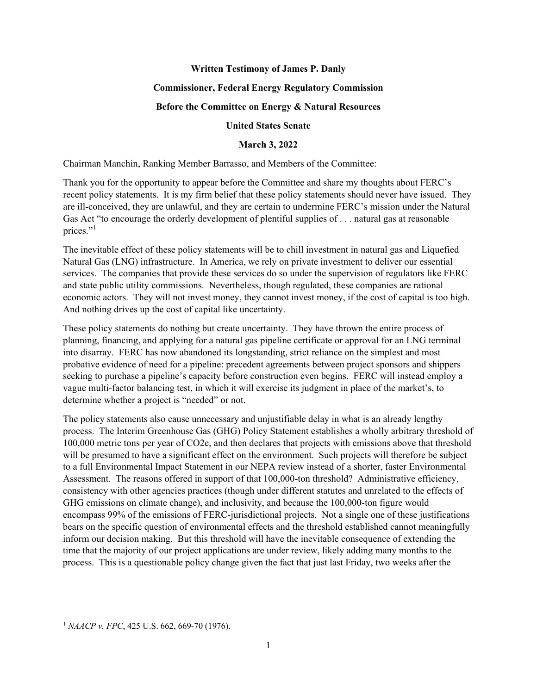### **Written Testimony of James P. Danly**

### **Commissioner, Federal Energy Regulatory Commission**

### **Before the Committee on Energy & Natural Resources**

# **United States Senate**

# **March 3, 2022**

Chairman Manchin, Ranking Member Barrasso, and Members of the Committee:

Thank you for the opportunity to appear before the Committee and share my thoughts about FERC's recent policy statements. It is my firm belief that these policy statements should never have issued. They are ill-conceived, they are unlawful, and they are certain to undermine FERC's mission under the Natural Gas Act "to encourage the orderly development of plentiful supplies of . . . natural gas at reasonable prices."<sup>[1](#page-0-0)</sup>

The inevitable effect of these policy statements will be to chill investment in natural gas and Liquefied Natural Gas (LNG) infrastructure. In America, we rely on private investment to deliver our essential services. The companies that provide these services do so under the supervision of regulators like FERC and state public utility commissions. Nevertheless, though regulated, these companies are rational economic actors. They will not invest money, they cannot invest money, if the cost of capital is too high. And nothing drives up the cost of capital like uncertainty.

These policy statements do nothing but create uncertainty. They have thrown the entire process of planning, financing, and applying for a natural gas pipeline certificate or approval for an LNG terminal into disarray. FERC has now abandoned its longstanding, strict reliance on the simplest and most probative evidence of need for a pipeline: precedent agreements between project sponsors and shippers seeking to purchase a pipeline's capacity before construction even begins. FERC will instead employ a vague multi-factor balancing test, in which it will exercise its judgment in place of the market's, to determine whether a project is "needed" or not.

The policy statements also cause unnecessary and unjustifiable delay in what is an already lengthy process. The Interim Greenhouse Gas (GHG) Policy Statement establishes a wholly arbitrary threshold of 100,000 metric tons per year of CO2e, and then declares that projects with emissions above that threshold will be presumed to have a significant effect on the environment. Such projects will therefore be subject to a full Environmental Impact Statement in our NEPA review instead of a shorter, faster Environmental Assessment. The reasons offered in support of that 100,000-ton threshold? Administrative efficiency, consistency with other agencies practices (though under different statutes and unrelated to the effects of GHG emissions on climate change), and inclusivity, and because the 100,000-ton figure would encompass 99% of the emissions of FERC-jurisdictional projects. Not a single one of these justifications bears on the specific question of environmental effects and the threshold established cannot meaningfully inform our decision making. But this threshold will have the inevitable consequence of extending the time that the majority of our project applications are under review, likely adding many months to the process. This is a questionable policy change given the fact that just last Friday, two weeks after the

<span id="page-0-0"></span><sup>1</sup> *NAACP v. FPC*, 425 U.S. 662, 669-70 (1976).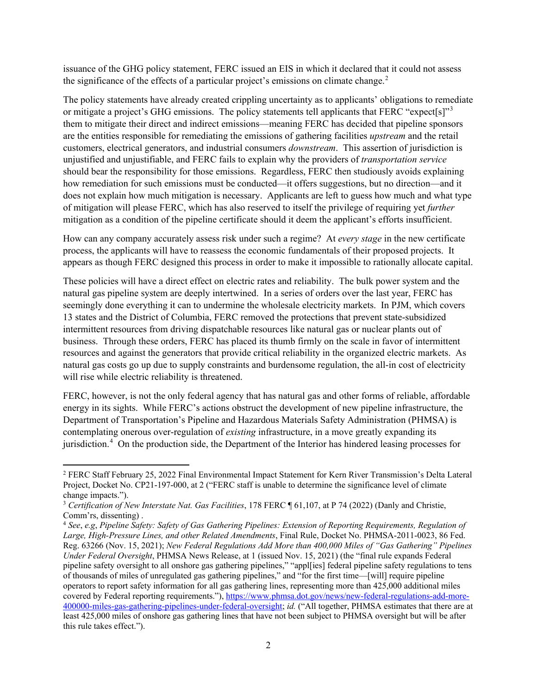issuance of the GHG policy statement, FERC issued an EIS in which it declared that it could not assess the significance of the effects of a particular project's emissions on climate change.<sup>[2](#page-1-0)</sup>

The policy statements have already created crippling uncertainty as to applicants' obligations to remediate or mitigate a project's GHG emissions. The policy statements tell applicants that FERC "expect[s]"<sup>[3](#page-1-1)</sup> them to mitigate their direct and indirect emissions—meaning FERC has decided that pipeline sponsors are the entities responsible for remediating the emissions of gathering facilities *upstream* and the retail customers, electrical generators, and industrial consumers *downstream*. This assertion of jurisdiction is unjustified and unjustifiable, and FERC fails to explain why the providers of *transportation service* should bear the responsibility for those emissions. Regardless, FERC then studiously avoids explaining how remediation for such emissions must be conducted—it offers suggestions, but no direction—and it does not explain how much mitigation is necessary. Applicants are left to guess how much and what type of mitigation will please FERC, which has also reserved to itself the privilege of requiring yet *further* mitigation as a condition of the pipeline certificate should it deem the applicant's efforts insufficient.

How can any company accurately assess risk under such a regime? At *every stage* in the new certificate process, the applicants will have to reassess the economic fundamentals of their proposed projects. It appears as though FERC designed this process in order to make it impossible to rationally allocate capital.

These policies will have a direct effect on electric rates and reliability. The bulk power system and the natural gas pipeline system are deeply intertwined. In a series of orders over the last year, FERC has seemingly done everything it can to undermine the wholesale electricity markets. In PJM, which covers 13 states and the District of Columbia, FERC removed the protections that prevent state-subsidized intermittent resources from driving dispatchable resources like natural gas or nuclear plants out of business. Through these orders, FERC has placed its thumb firmly on the scale in favor of intermittent resources and against the generators that provide critical reliability in the organized electric markets. As natural gas costs go up due to supply constraints and burdensome regulation, the all-in cost of electricity will rise while electric reliability is threatened.

FERC, however, is not the only federal agency that has natural gas and other forms of reliable, affordable energy in its sights. While FERC's actions obstruct the development of new pipeline infrastructure, the Department of Transportation's Pipeline and Hazardous Materials Safety Administration (PHMSA) is contemplating onerous over-regulation of *existing* infrastructure, in a move greatly expanding its jurisdiction.<sup>[4](#page-1-2)</sup> On the production side, the Department of the Interior has hindered leasing processes for

<span id="page-1-0"></span><sup>2</sup> FERC Staff February 25, 2022 Final Environmental Impact Statement for Kern River Transmission's Delta Lateral Project, Docket No. CP21-197-000, at 2 ("FERC staff is unable to determine the significance level of climate change impacts.").

<span id="page-1-1"></span><sup>3</sup> *Certification of New Interstate Nat. Gas Facilities*, 178 FERC ¶ 61,107, at P 74 (2022) (Danly and Christie, Comm'rs, dissenting) .

<span id="page-1-2"></span><sup>4</sup> *See*, *e.g*, *Pipeline Safety: Safety of Gas Gathering Pipelines: Extension of Reporting Requirements, Regulation of Large, High-Pressure Lines, and other Related Amendments*, Final Rule, Docket No. PHMSA-2011-0023, 86 Fed. Reg. 63266 (Nov. 15, 2021); *New Federal Regulations Add More than 400,000 Miles of "Gas Gathering" Pipelines Under Federal Oversight*, PHMSA News Release, at 1 (issued Nov. 15, 2021) (the "final rule expands Federal pipeline safety oversight to all onshore gas gathering pipelines," "appl[ies] federal pipeline safety regulations to tens of thousands of miles of unregulated gas gathering pipelines," and "for the first time—[will] require pipeline operators to report safety information for all gas gathering lines, representing more than 425,000 additional miles covered by Federal reporting requirements."), [https://www.phmsa.dot.gov/news/new-federal-regulations-add-more-](https://www.phmsa.dot.gov/news/new-federal-regulations-add-more-400000-miles-gas-gathering-pipelines-under-federal-oversight)[400000-miles-gas-gathering-pipelines-under-federal-oversight;](https://www.phmsa.dot.gov/news/new-federal-regulations-add-more-400000-miles-gas-gathering-pipelines-under-federal-oversight) *id.* ("All together, PHMSA estimates that there are at least 425,000 miles of onshore gas gathering lines that have not been subject to PHMSA oversight but will be after this rule takes effect.").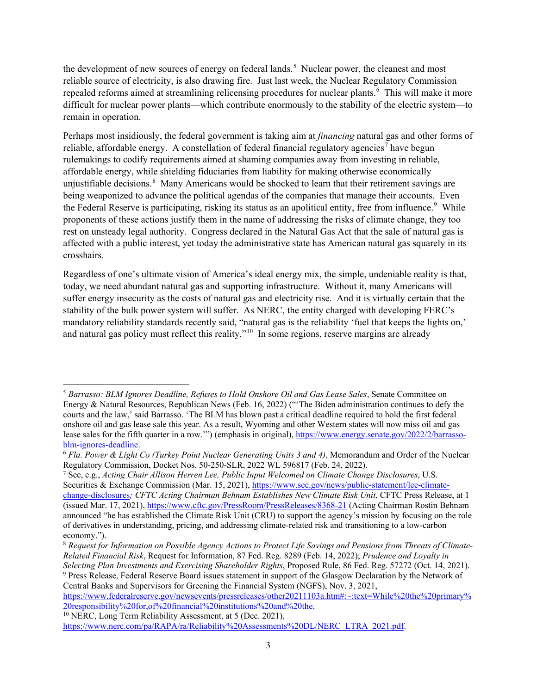the development of new sources of energy on federal lands.<sup>[5](#page-2-0)</sup> Nuclear power, the cleanest and most reliable source of electricity, is also drawing fire. Just last week, the Nuclear Regulatory Commission repealed reforms aimed at streamlining relicensing procedures for nuclear plants.<sup>[6](#page-2-1)</sup> This will make it more difficult for nuclear power plants—which contribute enormously to the stability of the electric system—to remain in operation.

Perhaps most insidiously, the federal government is taking aim at *financing* natural gas and other forms of reliable, affordable energy. A constellation of federal financial regulatory agencies<sup>[7](#page-2-2)</sup> have begun rulemakings to codify requirements aimed at shaming companies away from investing in reliable, affordable energy, while shielding fiduciaries from liability for making otherwise economically unjustifiable decisions.<sup>[8](#page-2-3)</sup> Many Americans would be shocked to learn that their retirement savings are being weaponized to advance the political agendas of the companies that manage their accounts. Even the Federal Reserve is participating, risking its status as an apolitical entity, free from influence.<sup>[9](#page-2-4)</sup> While proponents of these actions justify them in the name of addressing the risks of climate change, they too rest on unsteady legal authority. Congress declared in the Natural Gas Act that the sale of natural gas is affected with a public interest, yet today the administrative state has American natural gas squarely in its crosshairs.

Regardless of one's ultimate vision of America's ideal energy mix, the simple, undeniable reality is that, today, we need abundant natural gas and supporting infrastructure. Without it, many Americans will suffer energy insecurity as the costs of natural gas and electricity rise. And it is virtually certain that the stability of the bulk power system will suffer. As NERC, the entity charged with developing FERC's mandatory reliability standards recently said, "natural gas is the reliability 'fuel that keeps the lights on,' and natural gas policy must reflect this reality."<sup>[10](#page-2-5)</sup> In some regions, reserve margins are already

<span id="page-2-4"></span><sup>9</sup> Press Release, Federal Reserve Board issues statement in support of the Glasgow Declaration by the Network of Central Banks and Supervisors for Greening the Financial System (NGFS), Nov. 3, 2021,

<span id="page-2-5"></span> $\frac{20.226 \text{ F} \cdot \text{m}}{10 \text{ NERC}}$ , Long Term Reliability Assessment, at 5 (Dec. 2021),

<span id="page-2-0"></span><sup>5</sup> *Barrasso: BLM Ignores Deadline, Refuses to Hold Onshore Oil and Gas Lease Sales*, Senate Committee on Energy & Natural Resources, Republican News (Feb. 16, 2022) ("'The Biden administration continues to defy the courts and the law,' said Barrasso. 'The BLM has blown past a critical deadline required to hold the first federal onshore oil and gas lease sale this year. As a result, Wyoming and other Western states will now miss oil and gas lease sales for the fifth quarter in a row.'") (emphasis in original), [https://www.energy.senate.gov/2022/2/barrasso-](https://www.energy.senate.gov/2022/2/barrasso-blm-ignores-deadline)

<span id="page-2-1"></span>[blm-ignores-deadline.](https://www.energy.senate.gov/2022/2/barrasso-blm-ignores-deadline)<br><sup>6</sup> *Fla. Power & Light Co (Turkey Point Nuclear Generating Units 3 and 4)*, Memorandum and Order of the Nuclear Regulatory Commission. Docket Nos. 50-250-SLR. 2022 WL 596817 (Feb. 24, 2022).

<span id="page-2-2"></span><sup>&</sup>lt;sup>7</sup> See, e.g., Acting Chair Allison Herren Lee, Public Input Welcomed on Climate Change Disclosures, U.S. Securities & Exchange Commission (Mar. 15, 2021)[, https://www.sec.gov/news/public-statement/lee-climate](https://www.sec.gov/news/public-statement/lee-climate-change-disclosures)[change-disclosures](https://www.sec.gov/news/public-statement/lee-climate-change-disclosures)*; CFTC Acting Chairman Behnam Establishes New Climate Risk Unit*, CFTC Press Release, at 1 (issued Mar. 17, 2021),<https://www.cftc.gov/PressRoom/PressReleases/8368-21> (Acting Chairman Rostin Behnam announced "he has established the Climate Risk Unit (CRU) to support the agency's mission by focusing on the role of derivatives in understanding, pricing, and addressing climate-related risk and transitioning to a low-carbon economy.").

<span id="page-2-3"></span><sup>8</sup> *Request for Information on Possible Agency Actions to Protect Life Savings and Pensions from Threats of Climate-Related Financial Risk*, Request for Information, 87 Fed. Reg. 8289 (Feb. 14, 2022); *Prudence and Loyalty in Selecting Plan Investments and Exercising Shareholder Rights*, Proposed Rule, 86 Fed. Reg. 57272 (Oct. 14, 2021).

[https://www.federalreserve.gov/newsevents/pressreleases/other20211103a.htm#:~:text=While%20the%20primary%](https://www.federalreserve.gov/newsevents/pressreleases/other20211103a.htm#:%7E:text=While%20the%20primary%20responsibility%20for,of%20financial%20institutions%20and%20the)<br>20responsibility%20for.of%20financial%20institutions%20and%20the.

[https://www.nerc.com/pa/RAPA/ra/Reliability%20Assessments%20DL/NERC\\_LTRA\\_2021.pdf.](https://www.nerc.com/pa/RAPA/ra/Reliability%20Assessments%20DL/NERC_LTRA_2021.pdf)